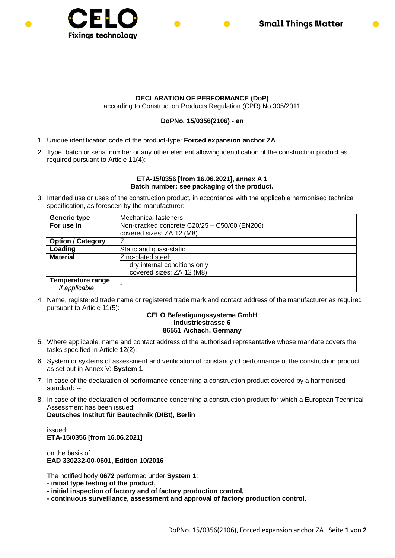

## **DECLARATION OF PERFORMANCE (DoP)**

according to Construction Products Regulation (CPR) No 305/2011

## **DoPNo. 15/0356(2106) - en**

- 1. Unique identification code of the product-type: **Forced expansion anchor ZA**
- 2. Type, batch or serial number or any other element allowing identification of the construction product as required pursuant to Article 11(4):

## **ETA-15/0356 [from 16.06.2021], annex A 1 Batch number: see packaging of the product.**

3. Intended use or uses of the construction product, in accordance with the applicable harmonised technical specification, as foreseen by the manufacturer:

| <b>Generic type</b>                       | <b>Mechanical fasteners</b>                                               |
|-------------------------------------------|---------------------------------------------------------------------------|
| For use in                                | Non-cracked concrete C20/25 - C50/60 (EN206)<br>covered sizes: ZA 12 (M8) |
| <b>Option / Category</b>                  |                                                                           |
| Loading                                   | Static and quasi-static                                                   |
| <b>Material</b>                           | Zinc-plated steel:                                                        |
|                                           | dry internal conditions only                                              |
|                                           | covered sizes: ZA 12 (M8)                                                 |
| <b>Temperature range</b><br>if applicable |                                                                           |

4. Name, registered trade name or registered trade mark and contact address of the manufacturer as required pursuant to Article 11(5):

## **CELO Befestigungssysteme GmbH Industriestrasse 6 86551 Aichach, Germany**

- 5. Where applicable, name and contact address of the authorised representative whose mandate covers the tasks specified in Article 12(2): --
- 6. System or systems of assessment and verification of constancy of performance of the construction product as set out in Annex V: **System 1**
- 7. In case of the declaration of performance concerning a construction product covered by a harmonised standard: --
- 8. In case of the declaration of performance concerning a construction product for which a European Technical Assessment has been issued:

**Deutsches Institut für Bautechnik (DIBt), Berlin**

issued: **ETA-15/0356 [from 16.06.2021]**

on the basis of **EAD 330232-00-0601, Edition 10/2016**

The notified body **0672** performed under **System 1**:

- **- initial type testing of the product,**
- **- initial inspection of factory and of factory production control,**
- **- continuous surveillance, assessment and approval of factory production control.**